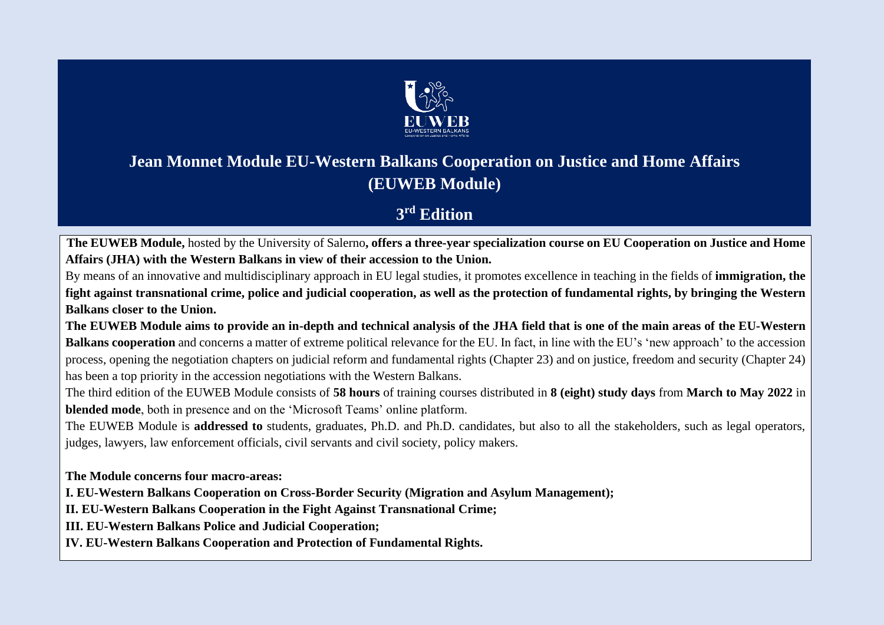

# **Jean Monnet Module EU-Western Balkans Cooperation on Justice and Home Affairs (EUWEB Module)**

# **3 rd Edition**

**The EUWEB Module,** hosted by the University of Salerno**, offers a three-year specialization course on EU Cooperation on Justice and Home Affairs (JHA) with the Western Balkans in view of their accession to the Union.** 

By means of an innovative and multidisciplinary approach in EU legal studies, it promotes excellence in teaching in the fields of **immigration, the fight against transnational crime, police and judicial cooperation, as well as the protection of fundamental rights, by bringing the Western Balkans closer to the Union.**

**The EUWEB Module aims to provide an in-depth and technical analysis of the JHA field that is one of the main areas of the EU-Western Balkans cooperation** and concerns a matter of extreme political relevance for the EU. In fact, in line with the EU's 'new approach' to the accession process, opening the negotiation chapters on judicial reform and fundamental rights (Chapter 23) and on justice, freedom and security (Chapter 24) has been a top priority in the accession negotiations with the Western Balkans.

The third edition of the EUWEB Module consists of **58 hours** of training courses distributed in **8 (eight) study days** from **March to May 2022** in **blended mode**, both in presence and on the 'Microsoft Teams' online platform.

The EUWEB Module is **addressed to** students, graduates, Ph.D. and Ph.D. candidates, but also to all the stakeholders, such as legal operators, judges, lawyers, law enforcement officials, civil servants and civil society, policy makers.

**The Module concerns four macro-areas:**

**I. EU-Western Balkans Cooperation on Cross-Border Security (Migration and Asylum Management);**

**II. EU-Western Balkans Cooperation in the Fight Against Transnational Crime;**

**III. EU-Western Balkans Police and Judicial Cooperation;**

**IV. EU-Western Balkans Cooperation and Protection of Fundamental Rights.**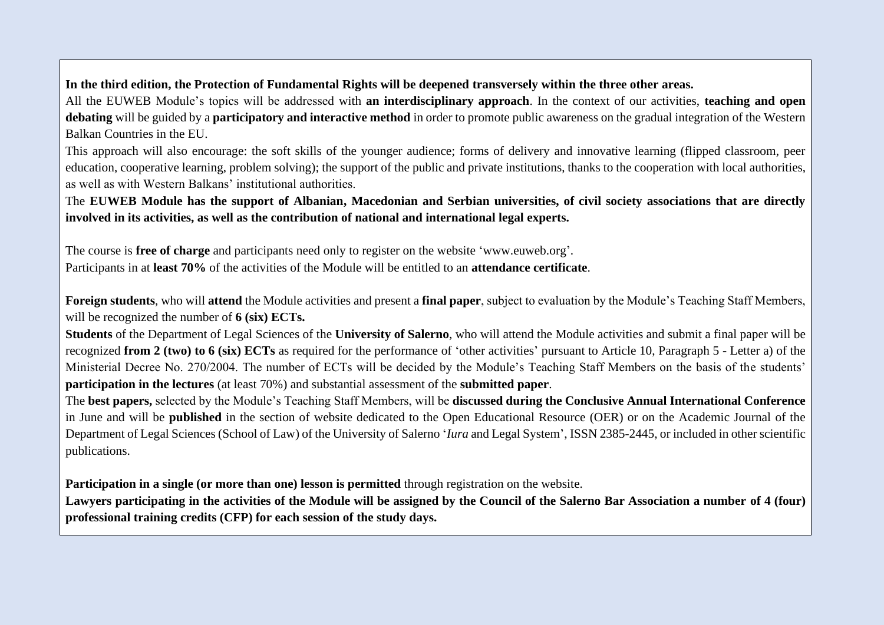# **In the third edition, the Protection of Fundamental Rights will be deepened transversely within the three other areas.**

All the EUWEB Module's topics will be addressed with **an interdisciplinary approach**. In the context of our activities, **teaching and open debating** will be guided by a **participatory and interactive method** in order to promote public awareness on the gradual integration of the Western Balkan Countries in the EU.

This approach will also encourage: the soft skills of the younger audience; forms of delivery and innovative learning (flipped classroom, peer education, cooperative learning, problem solving); the support of the public and private institutions, thanks to the cooperation with local authorities, as well as with Western Balkans' institutional authorities.

# The **EUWEB Module has the support of Albanian, Macedonian and Serbian universities, of civil society associations that are directly involved in its activities, as well as the contribution of national and international legal experts.**

The course is **free of charge** and participants need only to register on the website 'www.euweb.org'. Participants in at **least 70%** of the activities of the Module will be entitled to an **attendance certificate**.

**Foreign students**, who will **attend** the Module activities and present a **final paper**, subject to evaluation by the Module's Teaching Staff Members, will be recognized the number of **6 (six) ECTs.**

**Students** of the Department of Legal Sciences of the **University of Salerno**, who will attend the Module activities and submit a final paper will be recognized **from 2 (two) to 6 (six) ECTs** as required for the performance of 'other activities' pursuant to Article 10, Paragraph 5 - Letter a) of the Ministerial Decree No. 270/2004. The number of ECTs will be decided by the Module's Teaching Staff Members on the basis of the students' **participation in the lectures** (at least 70%) and substantial assessment of the **submitted paper**.

The **best papers,** selected by the Module's Teaching Staff Members, will be **discussed during the Conclusive Annual International Conference** in June and will be **published** in the section of website dedicated to the Open Educational Resource (OER) or on the Academic Journal of the Department of Legal Sciences (School of Law) of the University of Salerno '*Iura* and Legal System', ISSN 2385-2445, or included in other scientific publications.

**Participation in a single (or more than one) lesson is permitted** through registration on the website.

**Lawyers participating in the activities of the Module will be assigned by the Council of the Salerno Bar Association a number of 4 (four) professional training credits (CFP) for each session of the study days.**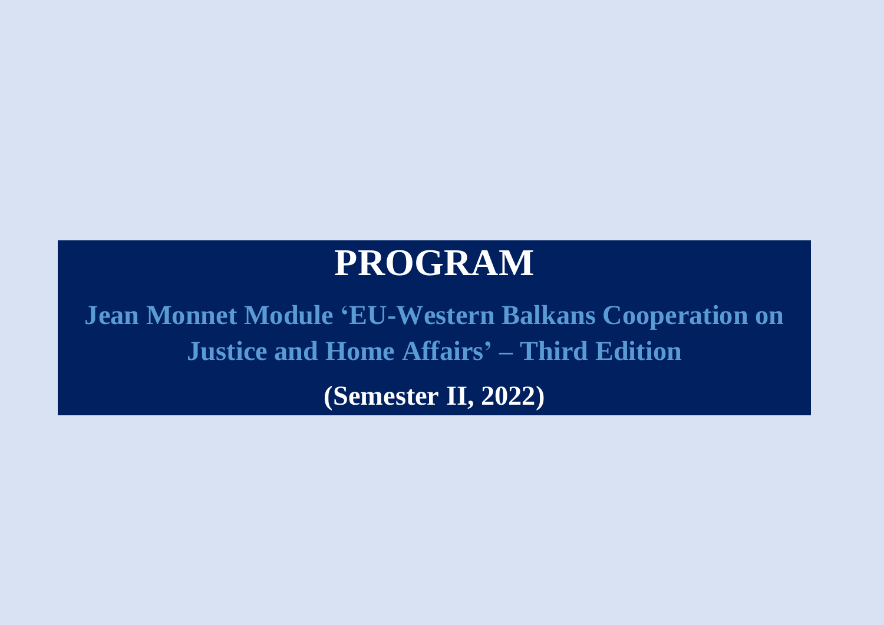# **PROGRAM**

**Jean Monnet Module 'EU-Western Balkans Cooperation on Justice and Home Affairs' – Third Edition (Semester II, 2022)**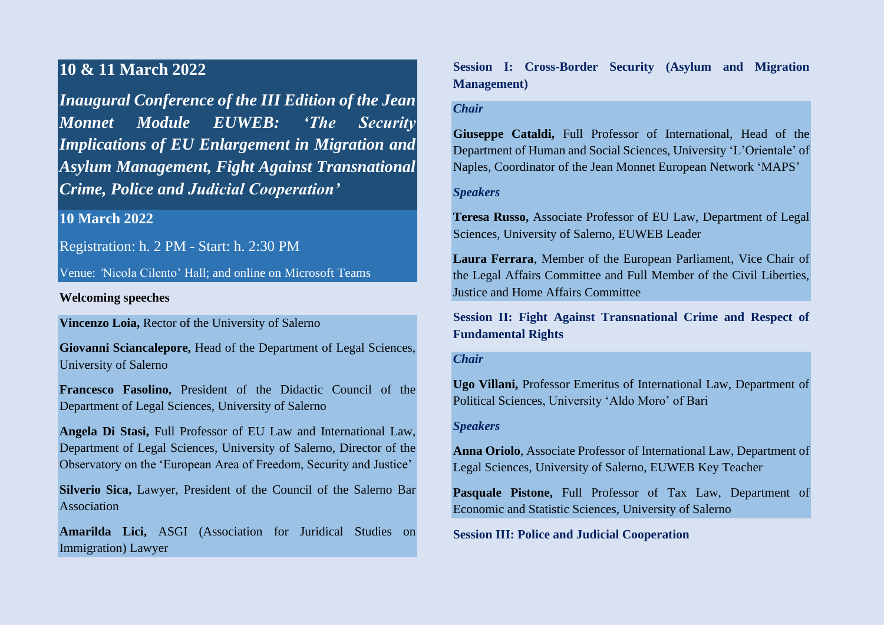# **10 & 11 March 2022**

*Inaugural Conference of the III Edition of the Jean Monnet Module EUWEB: 'The Security Implications of EU Enlargement in Migration and Asylum Management, Fight Against Transnational Crime, Police and Judicial Cooperation'*

# **10 March 2022**

Registration: h. 2 PM - Start: h. 2:30 PM

Venue: *'*Nicola Cilento' Hall; and online on Microsoft Teams

#### **Welcoming speeches**

**Vincenzo Loia,** Rector of the University of Salerno

**Giovanni Sciancalepore,** Head of the Department of Legal Sciences, University of Salerno

**Francesco Fasolino,** President of the Didactic Council of the Department of Legal Sciences, University of Salerno

**Angela Di Stasi,** Full Professor of EU Law and International Law, Department of Legal Sciences, University of Salerno, Director of the Observatory on the 'European Area of Freedom, Security and Justice'

**Silverio Sica,** Lawyer, President of the Council of the Salerno Bar Association

**Amarilda Lici,** ASGI (Association for Juridical Studies on Immigration) Lawyer

**Session I: Cross-Border Security (Asylum and Migration Management)**

## *Chair*

**Giuseppe Cataldi,** Full Professor of International, Head of the Department of Human and Social Sciences, University 'L'Orientale' of Naples, Coordinator of the Jean Monnet European Network 'MAPS'

#### *Speakers*

**Teresa Russo,** Associate Professor of EU Law, Department of Legal Sciences, University of Salerno, EUWEB Leader

**Laura Ferrara**, Member of the European Parliament, Vice Chair of the Legal Affairs Committee and Full Member of the Civil Liberties, Justice and Home Affairs Committee

**Session II: Fight Against Transnational Crime and Respect of Fundamental Rights** 

#### *Chair*

**Ugo Villani,** Professor Emeritus of International Law, Department of Political Sciences, University 'Aldo Moro' of Bari

#### *Speakers*

**Anna Oriolo**, Associate Professor of International Law, Department of Legal Sciences, University of Salerno, EUWEB Key Teacher

**Pasquale Pistone,** Full Professor of Tax Law, Department of Economic and Statistic Sciences, University of Salerno

**Session III: Police and Judicial Cooperation**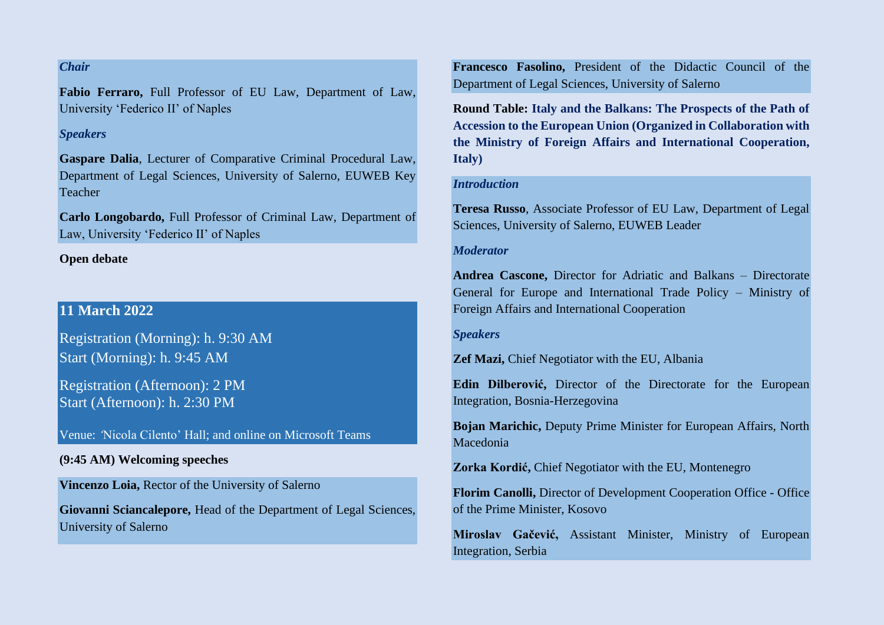# *Chair*

**Fabio Ferraro,** Full Professor of EU Law, Department of Law, University 'Federico II' of Naples

#### *Speakers*

**Gaspare Dalia**, Lecturer of Comparative Criminal Procedural Law, Department of Legal Sciences, University of Salerno, EUWEB Key Teacher

**Carlo Longobardo,** Full Professor of Criminal Law, Department of Law, University 'Federico II' of Naples

#### **Open debate**

# **11 March 2022**

Registration (Morning): h. 9:30 AM Start (Morning): h. 9:45 AM

Registration (Afternoon): 2 PM Start (Afternoon): h. 2:30 PM

Venue: *'*Nicola Cilento' Hall; and online on Microsoft Teams

## **(9:45 AM) Welcoming speeches**

**Vincenzo Loia,** Rector of the University of Salerno

**Giovanni Sciancalepore,** Head of the Department of Legal Sciences, University of Salerno

**Francesco Fasolino,** President of the Didactic Council of the Department of Legal Sciences, University of Salerno

**Round Table: Italy and the Balkans: The Prospects of the Path of Accession to the European Union (Organized in Collaboration with the Ministry of Foreign Affairs and International Cooperation, Italy)**

#### *Introduction*

**Teresa Russo**, Associate Professor of EU Law, Department of Legal Sciences, University of Salerno, EUWEB Leader

#### *Moderator*

**Andrea Cascone,** Director for Adriatic and Balkans – Directorate General for Europe and International Trade Policy – Ministry of Foreign Affairs and International Cooperation

*Speakers*

**Zef Mazi,** Chief Negotiator with the EU, Albania

**Edin Dilberović,** Director of the Directorate for the European Integration, Bosnia-Herzegovina

**Bojan Marichic,** Deputy Prime Minister for European Affairs, North Macedonia

**Zorka Kordić,** Chief Negotiator with the EU, Montenegro

**Florim Canolli,** Director of Development Cooperation Office - Office of the Prime Minister, Kosovo

**Miroslav Gačević,** Assistant Minister, Ministry of European Integration, Serbia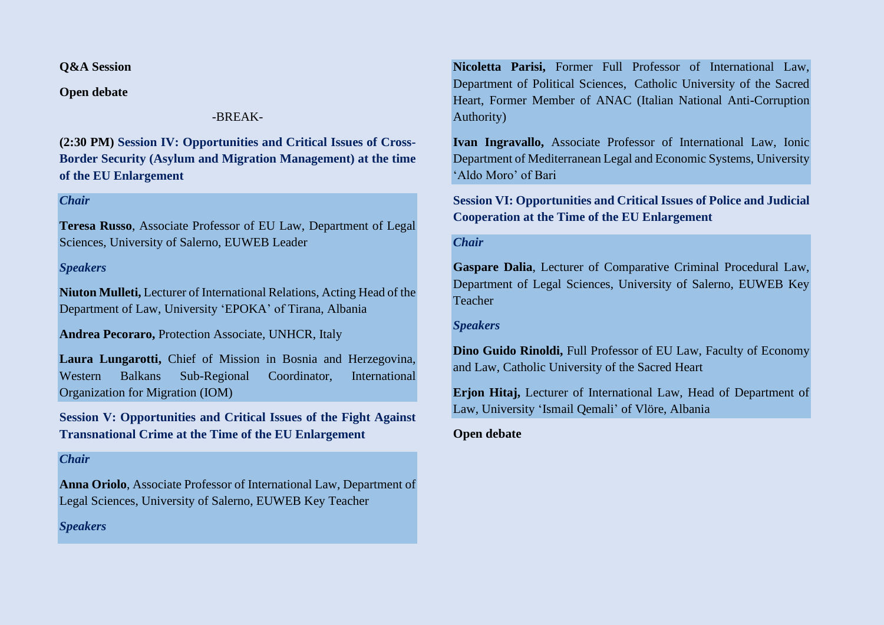**Q&A Session**

**Open debate**

# -BREAK-

**(2:30 PM) Session IV: Opportunities and Critical Issues of Cross-Border Security (Asylum and Migration Management) at the time of the EU Enlargement**

## *Chair*

**Teresa Russo**, Associate Professor of EU Law, Department of Legal Sciences, University of Salerno, EUWEB Leader

# *Speakers*

**Niuton Mulleti,** Lecturer of International Relations, Acting Head of the Department of Law, University 'EPOKA' of Tirana, Albania

**Andrea Pecoraro,** Protection Associate*,* UNHCR, Italy

**Laura Lungarotti,** Chief of Mission in Bosnia and Herzegovina, Western Balkans Sub-Regional Coordinator, International Organization for Migration (IOM)

**Session V: Opportunities and Critical Issues of the Fight Against Transnational Crime at the Time of the EU Enlargement**

#### *Chair*

**Anna Oriolo**, Associate Professor of International Law, Department of Legal Sciences, University of Salerno, EUWEB Key Teacher

*Speakers*

**Nicoletta Parisi,** Former Full Professor of International Law, Department of Political Sciences, Catholic University of the Sacred Heart, Former Member of ANAC (Italian National Anti-Corruption Authority)

**Ivan Ingravallo,** Associate Professor of International Law, Ionic Department of Mediterranean Legal and Economic Systems, University 'Aldo Moro' of Bari

**Session VI: Opportunities and Critical Issues of Police and Judicial Cooperation at the Time of the EU Enlargement**

#### *Chair*

**Gaspare Dalia**, Lecturer of Comparative Criminal Procedural Law, Department of Legal Sciences, University of Salerno, EUWEB Key Teacher

#### *Speakers*

**Dino Guido Rinoldi,** Full Professor of EU Law, Faculty of Economy and Law, Catholic University of the Sacred Heart

**Erjon Hitaj,** Lecturer of International Law, Head of Department of Law, University 'Ismail Qemali' of Vlöre, Albania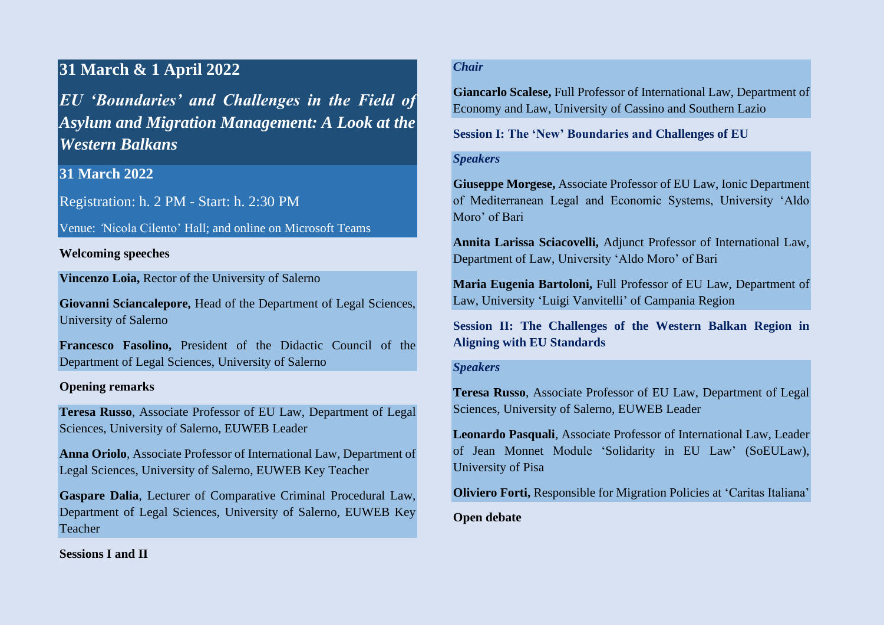# **31 March & 1 April 2022**

*EU 'Boundaries' and Challenges in the Field of Asylum and Migration Management: A Look at the Western Balkans*

# **31 March 2022**

Registration: h. 2 PM - Start: h. 2:30 PM

Venue: *'*Nicola Cilento' Hall; and online on Microsoft Teams

# **Welcoming speeches**

**Vincenzo Loia,** Rector of the University of Salerno

**Giovanni Sciancalepore,** Head of the Department of Legal Sciences, University of Salerno

**Francesco Fasolino,** President of the Didactic Council of the Department of Legal Sciences, University of Salerno

# **Opening remarks**

**Teresa Russo**, Associate Professor of EU Law, Department of Legal Sciences, University of Salerno, EUWEB Leader

**Anna Oriolo**, Associate Professor of International Law, Department of Legal Sciences, University of Salerno, EUWEB Key Teacher

**Gaspare Dalia**, Lecturer of Comparative Criminal Procedural Law, Department of Legal Sciences, University of Salerno, EUWEB Key Teacher

# *Chair*

**Giancarlo Scalese,** Full Professor of International Law, Department of Economy and Law, University of Cassino and Southern Lazio

## **Session I: The 'New' Boundaries and Challenges of EU**

## *Speakers*

**Giuseppe Morgese,** Associate Professor of EU Law, Ionic Department of Mediterranean Legal and Economic Systems, University 'Aldo Moro' of Bari

**Annita Larissa Sciacovelli,** Adjunct Professor of International Law, Department of Law, University 'Aldo Moro' of Bari

**Maria Eugenia Bartoloni,** Full Professor of EU Law, Department of Law, University 'Luigi Vanvitelli' of Campania Region

**Session II: The Challenges of the Western Balkan Region in Aligning with EU Standards**

## *Speakers*

**Teresa Russo**, Associate Professor of EU Law, Department of Legal Sciences, University of Salerno, EUWEB Leader

**Leonardo Pasquali**, Associate Professor of International Law, Leader of Jean Monnet Module 'Solidarity in EU Law' (SoEULaw), University of Pisa

**Oliviero Forti,** Responsible for Migration Policies at 'Caritas Italiana'

**Open debate**

**Sessions I and II**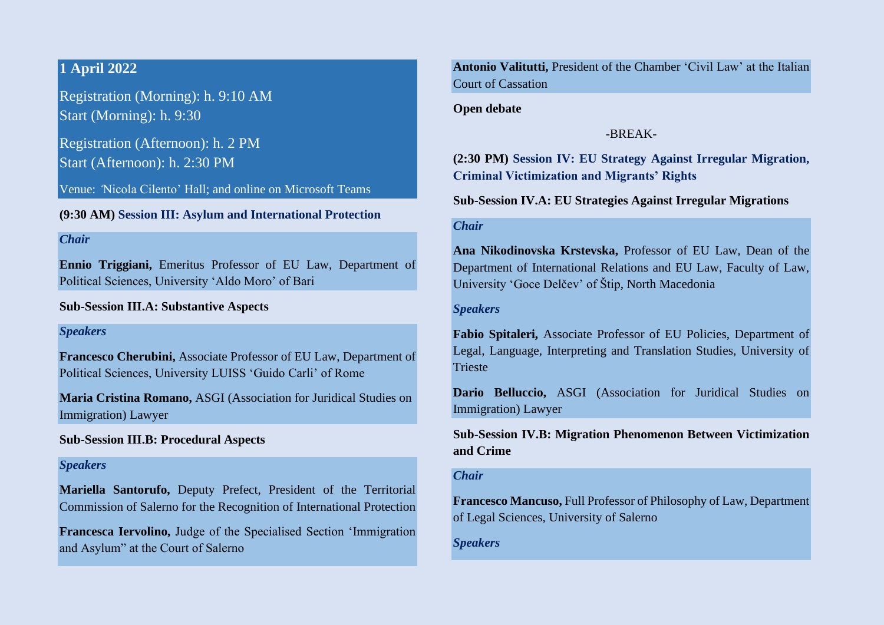# **1 April 2022**

Registration (Morning): h. 9:10 AM Start (Morning): h. 9:30

Registration (Afternoon): h. 2 PM Start (Afternoon): h. 2:30 PM

Venue: *'*Nicola Cilento' Hall; and online on Microsoft Teams

**(9:30 AM) Session III: Asylum and International Protection**

#### *Chair*

**Ennio Triggiani,** Emeritus Professor of EU Law, Department of Political Sciences, University 'Aldo Moro' of Bari

## **Sub-Session III.A: Substantive Aspects**

#### *Speakers*

**Francesco Cherubini,** Associate Professor of EU Law, Department of Political Sciences, University LUISS 'Guido Carli' of Rome

**Maria Cristina Romano,** ASGI (Association for Juridical Studies on Immigration) Lawyer

# **Sub-Session III.B: Procedural Aspects**

#### *Speakers*

**Mariella Santorufo,** Deputy Prefect, President of the Territorial Commission of Salerno for the Recognition of International Protection

**Francesca Iervolino,** Judge of the Specialised Section 'Immigration and Asylum" at the Court of Salerno

**Antonio Valitutti,** President of the Chamber 'Civil Law' at the Italian Court of Cassation

**Open debate**

#### -BREAK-

**(2:30 PM) Session IV: EU Strategy Against Irregular Migration, Criminal Victimization and Migrants' Rights**

**Sub-Session IV.A: EU Strategies Against Irregular Migrations**

#### *Chair*

**Ana Nikodinovska Krstevska,** Professor of EU Law, Dean of the Department of International Relations and EU Law, Faculty of Law, University 'Goce Delčev' of Štip, North Macedonia

#### *Speakers*

**Fabio Spitaleri,** Associate Professor of EU Policies, Department of Legal, Language, Interpreting and Translation Studies, University of **Trieste** 

**Dario Belluccio,** ASGI (Association for Juridical Studies on Immigration) Lawyer

**Sub-Session IV.B: Migration Phenomenon Between Victimization and Crime**

#### *Chair*

**Francesco Mancuso,** Full Professor of Philosophy of Law, Department of Legal Sciences, University of Salerno

*Speakers*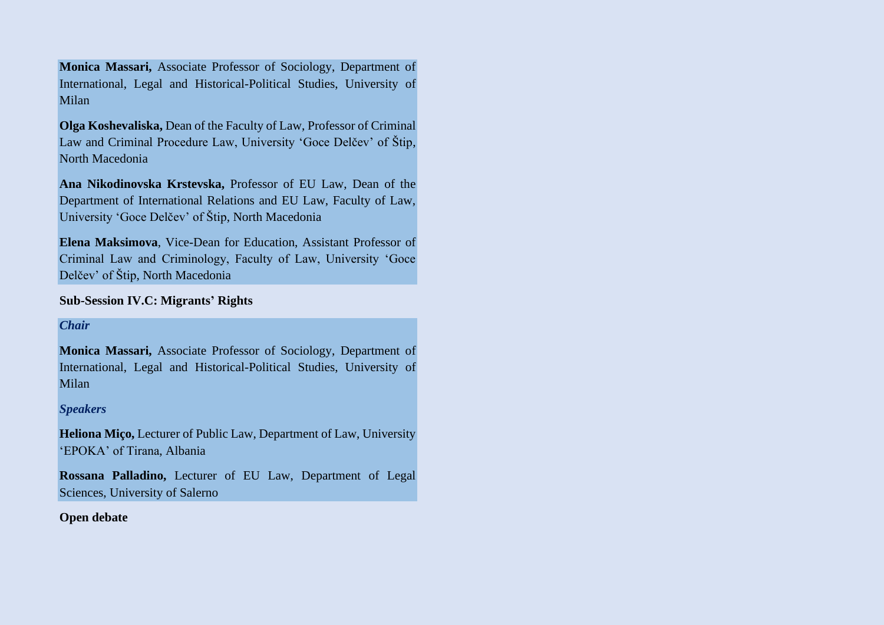**Monica Massari,** Associate Professor of Sociology, Department of International, Legal and Historical-Political Studies, University of Milan

**Olga Koshevaliska,** Dean of the Faculty of Law, Professor of Criminal Law and Criminal Procedure Law, University 'Goce Delčev' of Štip, North Macedonia

**Ana Nikodinovska Krstevska,** Professor of EU Law, Dean of the Department of International Relations and EU Law, Faculty of Law, University 'Goce Delčev' of Štip, North Macedonia

**Elena Maksimova**, Vice-Dean for Education, Assistant Professor of Criminal Law and Criminology, Faculty of Law, University 'Goce Delčev' of Štip, North Macedonia

## **Sub-Session IV.C: Migrants' Rights**

## *Chair*

**Monica Massari,** Associate Professor of Sociology, Department of International, Legal and Historical-Political Studies, University of Milan

## *Speakers*

**Heliona Miço,** Lecturer of Public Law, Department of Law, University 'EPOKA' of Tirana, Albania

**Rossana Palladino,** Lecturer of EU Law, Department of Legal Sciences, University of Salerno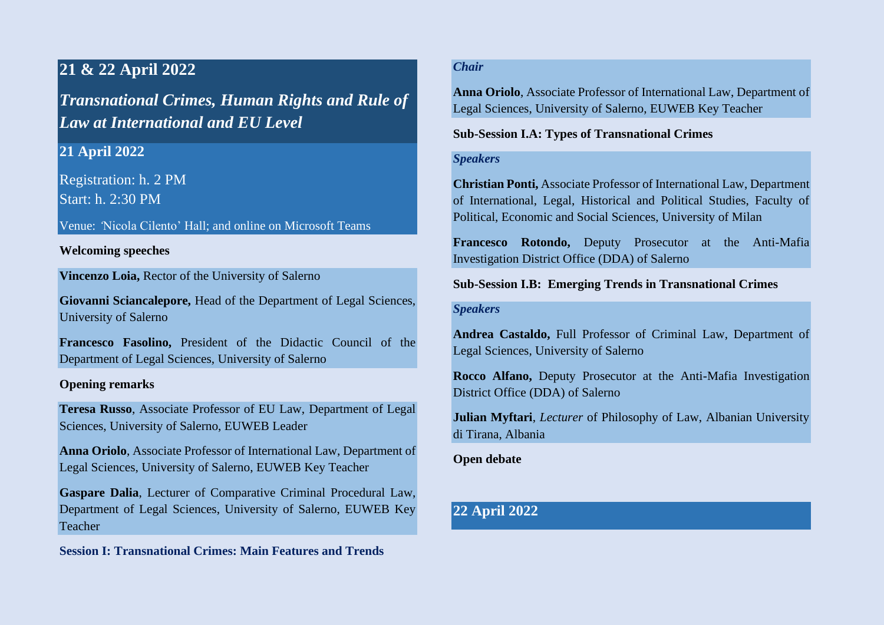# **21 & 22 April 2022**

*Transnational Crimes, Human Rights and Rule of Law at International and EU Level*

# **21 April 2022**

Registration: h. 2 PM Start: h. 2:30 PM

Venue: *'*Nicola Cilento' Hall; and online on Microsoft Teams

## **Welcoming speeches**

**Vincenzo Loia,** Rector of the University of Salerno

**Giovanni Sciancalepore,** Head of the Department of Legal Sciences, University of Salerno

**Francesco Fasolino,** President of the Didactic Council of the Department of Legal Sciences, University of Salerno

## **Opening remarks**

**Teresa Russo**, Associate Professor of EU Law, Department of Legal Sciences, University of Salerno, EUWEB Leader

**Anna Oriolo**, Associate Professor of International Law, Department of Legal Sciences, University of Salerno, EUWEB Key Teacher

**Gaspare Dalia**, Lecturer of Comparative Criminal Procedural Law, Department of Legal Sciences, University of Salerno, EUWEB Key Teacher

**Session I: Transnational Crimes: Main Features and Trends**

# *Chair*

**Anna Oriolo**, Associate Professor of International Law, Department of Legal Sciences, University of Salerno, EUWEB Key Teacher

# **Sub-Session I.A: Types of Transnational Crimes**

#### *Speakers*

**Christian Ponti,** Associate Professor of International Law, Department of International, Legal, Historical and Political Studies, Faculty of Political, Economic and Social Sciences, University of Milan

**Francesco Rotondo,** Deputy Prosecutor at the Anti-Mafia Investigation District Office (DDA) of Salerno

**Sub-Session I.B: Emerging Trends in Transnational Crimes**

## *Speakers*

**Andrea Castaldo,** Full Professor of Criminal Law, Department of Legal Sciences, University of Salerno

**Rocco Alfano,** Deputy Prosecutor at the Anti-Mafia Investigation District Office (DDA) of Salerno

**Julian Myftari**, *Lecturer* of Philosophy of Law, Albanian University di Tirana, Albania

**Open debate**

# **22 April 2022**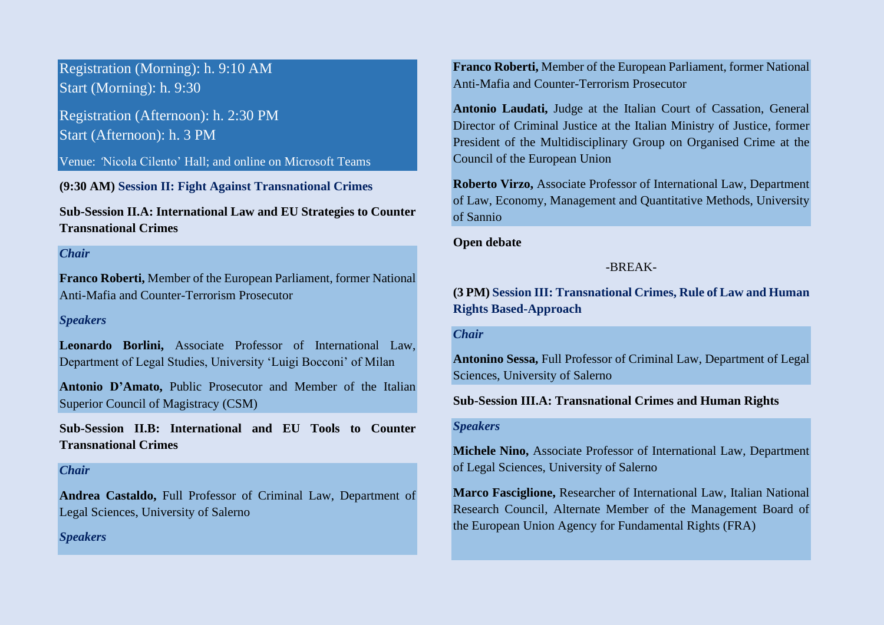Registration (Morning): h. 9:10 AM Start (Morning): h. 9:30

Registration (Afternoon): h. 2:30 PM Start (Afternoon): h. 3 PM

Venue: *'*Nicola Cilento' Hall; and online on Microsoft Teams

**(9:30 AM) Session II: Fight Against Transnational Crimes**

**Sub-Session II.A: International Law and EU Strategies to Counter Transnational Crimes**

#### *Chair*

**Franco Roberti,** Member of the European Parliament, former National Anti-Mafia and Counter-Terrorism Prosecutor

#### *Speakers*

**Leonardo Borlini,** Associate Professor of International Law, Department of Legal Studies, University 'Luigi Bocconi' of Milan

**Antonio D'Amato,** Public Prosecutor and Member of the Italian Superior Council of Magistracy (CSM)

**Sub-Session II.B: International and EU Tools to Counter Transnational Crimes**

#### *Chair*

**Andrea Castaldo,** Full Professor of Criminal Law, Department of Legal Sciences, University of Salerno

*Speakers*

**Franco Roberti,** Member of the European Parliament, former National Anti-Mafia and Counter-Terrorism Prosecutor

**Antonio Laudati,** Judge at the Italian Court of Cassation, General Director of Criminal Justice at the Italian Ministry of Justice, former President of the Multidisciplinary Group on Organised Crime at the Council of the European Union

**Roberto Virzo,** Associate Professor of International Law, Department of Law, Economy, Management and Quantitative Methods, University of Sannio

**Open debate**

## -BREAK-

**(3 PM) Session III: Transnational Crimes, Rule of Law and Human Rights Based-Approach**

#### *Chair*

**Antonino Sessa,** Full Professor of Criminal Law, Department of Legal Sciences, University of Salerno

#### **Sub-Session III.A: Transnational Crimes and Human Rights**

## *Speakers*

**Michele Nino,** Associate Professor of International Law, Department of Legal Sciences, University of Salerno

**Marco Fasciglione,** Researcher of International Law, Italian National Research Council, Alternate Member of the Management Board of the European Union Agency for Fundamental Rights (FRA)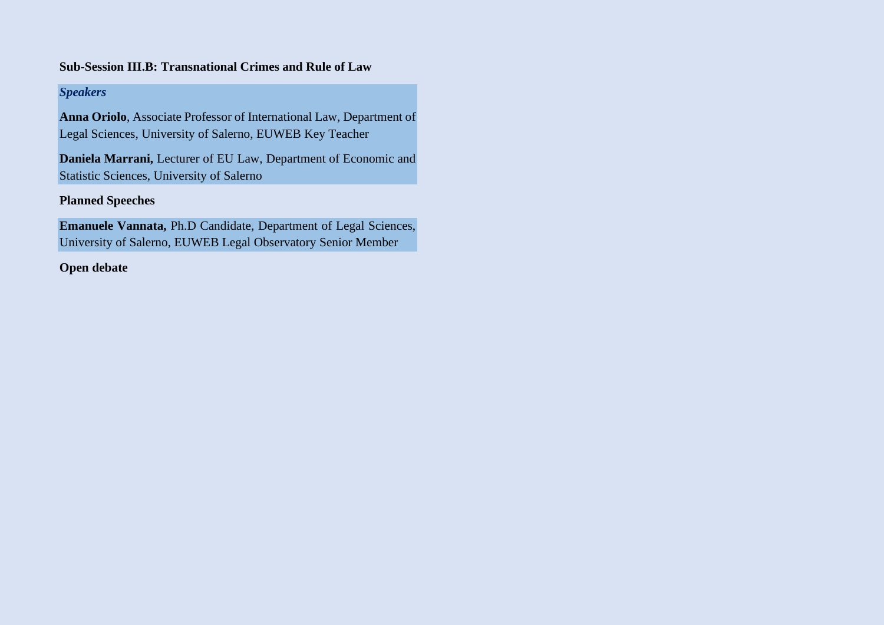# **Sub-Session III.B: Transnational Crimes and Rule of Law**

# *Speakers*

**Anna Oriolo**, Associate Professor of International Law, Department of Legal Sciences, University of Salerno, EUWEB Key Teacher

**Daniela Marrani,** Lecturer of EU Law, Department of Economic and Statistic Sciences, University of Salerno

# **Planned Speeches**

**Emanuele Vannata,** Ph.D Candidate, Department of Legal Sciences, University of Salerno, EUWEB Legal Observatory Senior Member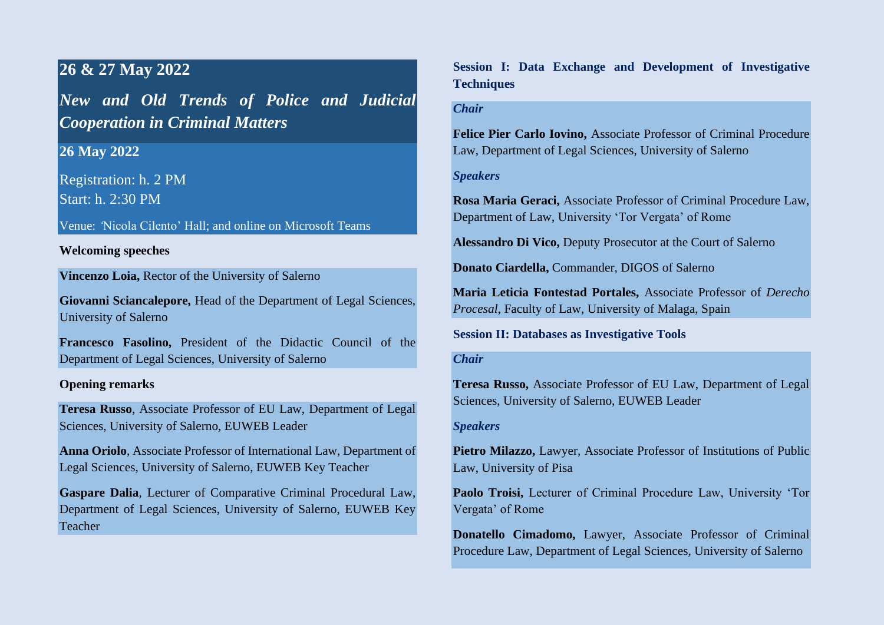# **26 & 27 May 2022**

*New and Old Trends of Police and Judicial Cooperation in Criminal Matters*

**26 May 2022**

Registration: h. 2 PM Start: h. 2:30 PM

Venue: *'*Nicola Cilento' Hall; and online on Microsoft Teams

## **Welcoming speeches**

**Vincenzo Loia,** Rector of the University of Salerno

**Giovanni Sciancalepore,** Head of the Department of Legal Sciences, University of Salerno

**Francesco Fasolino,** President of the Didactic Council of the Department of Legal Sciences, University of Salerno

#### **Opening remarks**

**Teresa Russo**, Associate Professor of EU Law, Department of Legal Sciences, University of Salerno, EUWEB Leader

**Anna Oriolo**, Associate Professor of International Law, Department of Legal Sciences, University of Salerno, EUWEB Key Teacher

**Gaspare Dalia**, Lecturer of Comparative Criminal Procedural Law, Department of Legal Sciences, University of Salerno, EUWEB Key Teacher

**Session I: Data Exchange and Development of Investigative Techniques**

## *Chair*

**Felice Pier Carlo Iovino,** Associate Professor of Criminal Procedure Law, Department of Legal Sciences, University of Salerno

#### *Speakers*

**Rosa Maria Geraci,** Associate Professor of Criminal Procedure Law, Department of Law, University 'Tor Vergata' of Rome

**Alessandro Di Vico,** Deputy Prosecutor at the Court of Salerno

**Donato Ciardella,** Commander, DIGOS of Salerno

**Maria Leticia Fontestad Portales,** Associate Professor of *Derecho Procesal*, Faculty of Law, University of Malaga, Spain

**Session II: Databases as Investigative Tools** 

#### *Chair*

**Teresa Russo,** Associate Professor of EU Law, Department of Legal Sciences, University of Salerno, EUWEB Leader

#### *Speakers*

**Pietro Milazzo,** Lawyer, Associate Professor of Institutions of Public Law, University of Pisa

**Paolo Troisi,** Lecturer of Criminal Procedure Law, University 'Tor Vergata' of Rome

**Donatello Cimadomo,** Lawyer, Associate Professor of Criminal Procedure Law, Department of Legal Sciences, University of Salerno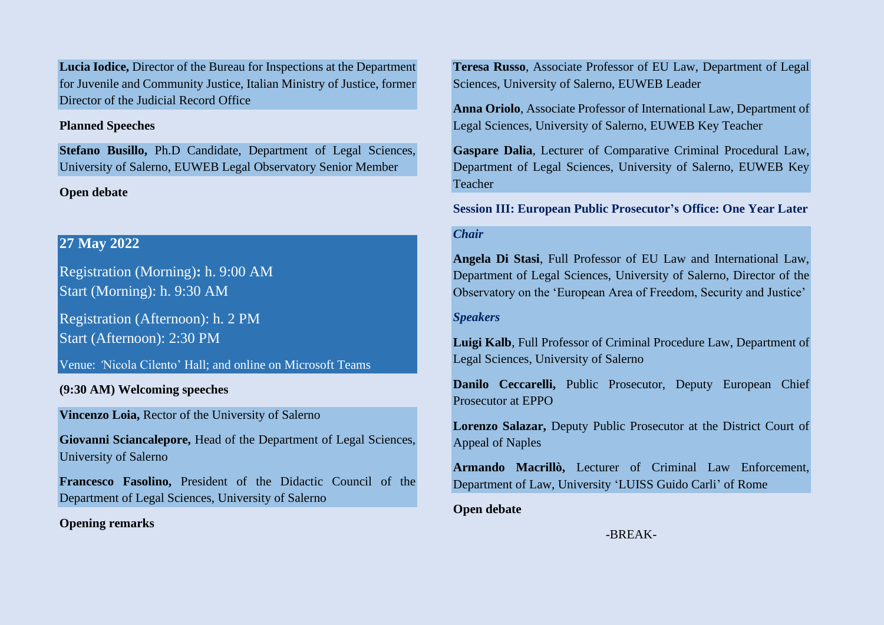**Lucia Iodice,** Director of the Bureau for Inspections at the Department for Juvenile and Community Justice, Italian Ministry of Justice, former Director of the Judicial Record Office

#### **Planned Speeches**

**Stefano Busillo,** Ph.D Candidate, Department of Legal Sciences, University of Salerno, EUWEB Legal Observatory Senior Member

# **Open debate**

# **27 May 2022**

Registration (Morning)**:** h. 9:00 AM Start (Morning): h. 9:30 AM

Registration (Afternoon): h. 2 PM Start (Afternoon): 2:30 PM

Venue: *'*Nicola Cilento' Hall; and online on Microsoft Teams

# **(9:30 AM) Welcoming speeches**

**Vincenzo Loia,** Rector of the University of Salerno

**Giovanni Sciancalepore,** Head of the Department of Legal Sciences, University of Salerno

**Francesco Fasolino,** President of the Didactic Council of the Department of Legal Sciences, University of Salerno

**Opening remarks**

**Teresa Russo**, Associate Professor of EU Law, Department of Legal Sciences, University of Salerno, EUWEB Leader

**Anna Oriolo**, Associate Professor of International Law, Department of Legal Sciences, University of Salerno, EUWEB Key Teacher

**Gaspare Dalia**, Lecturer of Comparative Criminal Procedural Law, Department of Legal Sciences, University of Salerno, EUWEB Key Teacher

**Session III: European Public Prosecutor's Office: One Year Later** 

# *Chair*

**Angela Di Stasi**, Full Professor of EU Law and International Law, Department of Legal Sciences, University of Salerno, Director of the Observatory on the 'European Area of Freedom, Security and Justice'

*Speakers*

**Luigi Kalb**, Full Professor of Criminal Procedure Law, Department of Legal Sciences, University of Salerno

**Danilo Ceccarelli,** Public Prosecutor, Deputy European Chief Prosecutor at EPPO

**Lorenzo Salazar,** Deputy Public Prosecutor at the District Court of Appeal of Naples

**Armando Macrillò,** Lecturer of Criminal Law Enforcement, Department of Law, University 'LUISS Guido Carli' of Rome

**Open debate**

-BREAK-